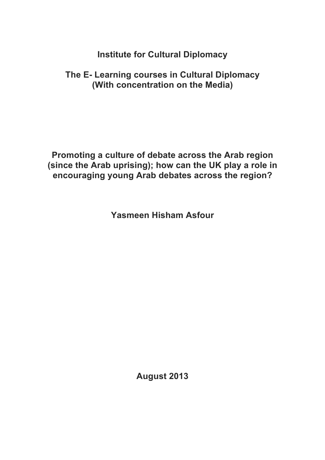**Institute for Cultural Diplomacy**

## **The E- Learning courses in Cultural Diplomacy (With concentration on the Media)**

**Promoting a culture of debate across the Arab region (since the Arab uprising); how can the UK play a role in encouraging young Arab debates across the region?**

**Yasmeen Hisham Asfour**

**August 2013**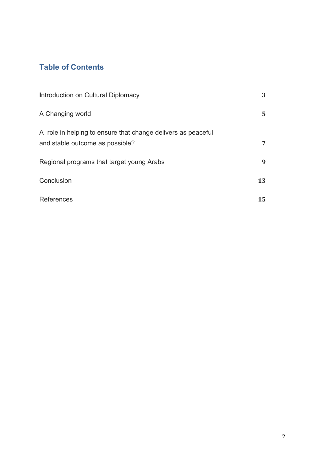### **Table of Contents**

| Introduction on Cultural Diplomacy                                                              | 3  |
|-------------------------------------------------------------------------------------------------|----|
| A Changing world                                                                                | 5. |
| A role in helping to ensure that change delivers as peaceful<br>and stable outcome as possible? | 7  |
| Regional programs that target young Arabs                                                       | 9  |
| Conclusion                                                                                      | 13 |
| References                                                                                      | 15 |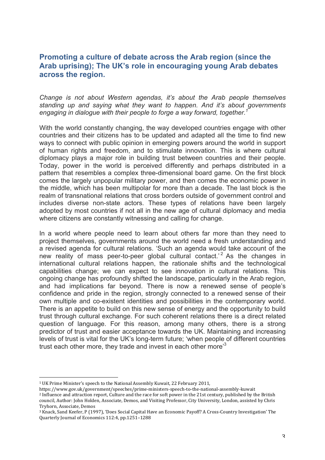### **Promoting a culture of debate across the Arab region (since the Arab uprising); The UK's role in encouraging young Arab debates across the region.**

*Change is not about Western agendas, it's about the Arab people themselves standing up and saying what they want to happen. And it's about governments engaging in dialogue with their people to forge a way forward, together.1*

With the world constantly changing, the way developed countries engage with other countries and their citizens has to be updated and adapted all the time to find new ways to connect with public opinion in emerging powers around the world in support of human rights and freedom, and to stimulate innovation. This is where cultural diplomacy plays a major role in building trust between countries and their people. Today, power in the world is perceived differently and perhaps distributed in a pattern that resembles a complex three-dimensional board game. On the first block comes the largely unpopular military power, and then comes the economic power in the middle, which has been multipolar for more than a decade. The last block is the realm of transnational relations that cross borders outside of government control and includes diverse non-state actors. These types of relations have been largely adopted by most countries if not all in the new age of cultural diplomacy and media where citizens are constantly witnessing and calling for change.

In a world where people need to learn about others far more than they need to project themselves, governments around the world need a fresh understanding and a revised agenda for cultural relations. 'Such an agenda would take account of the new reality of mass peer-to-peer global cultural contact.<sup>'2</sup> As the changes in international cultural relations happen, the rationale shifts and the technological capabilities change; we can expect to see innovation in cultural relations. This ongoing change has profoundly shifted the landscape, particularly in the Arab region, and had implications far beyond. There is now a renewed sense of people's confidence and pride in the region, strongly connected to a renewed sense of their own multiple and co-existent identities and possibilities in the contemporary world. There is an appetite to build on this new sense of energy and the opportunity to build trust through cultural exchange. For such coherent relations there is a direct related question of language. For this reason, among many others, there is a strong predictor of trust and easier acceptance towards the UK. Maintaining and increasing levels of trust is vital for the UK's long-term future; 'when people of different countries trust each other more, they trade and invest in each other more<sup>3</sup>

<sup>&</sup>lt;sup>1</sup> UK Prime Minister's speech to the National Assembly Kuwait, 22 February 2011,

https://www.gov.uk/government/speeches/prime-ministers-speech-to-the-national-assembly-kuwait

<sup>&</sup>lt;sup>2</sup> Influence and attraction report, Culture and the race for soft power in the 21st century, published by the British council, Author: John Holden, Associate, Demos, and Visiting Professor, City University, London, assisted by Chris Tryhorn, Associate, Demos

<sup>&</sup>lt;sup>3</sup> Knack, Sand Keefer, P (1997), 'Does Social Capital Have an Economic Payoff? A Cross-Country Investigation' The Quarterly Journal of Economics 112:4, pp.1251-1288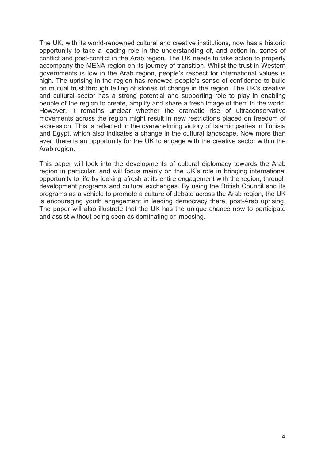The UK, with its world-renowned cultural and creative institutions, now has a historic opportunity to take a leading role in the understanding of, and action in, zones of conflict and post-conflict in the Arab region. The UK needs to take action to properly accompany the MENA region on its journey of transition. Whilst the trust in Western governments is low in the Arab region, people's respect for international values is high. The uprising in the region has renewed people's sense of confidence to build on mutual trust through telling of stories of change in the region. The UK's creative and cultural sector has a strong potential and supporting role to play in enabling people of the region to create, amplify and share a fresh image of them in the world. However, it remains unclear whether the dramatic rise of ultraconservative movements across the region might result in new restrictions placed on freedom of expression. This is reflected in the overwhelming victory of Islamic parties in Tunisia and Egypt, which also indicates a change in the cultural landscape. Now more than ever, there is an opportunity for the UK to engage with the creative sector within the Arab region.

This paper will look into the developments of cultural diplomacy towards the Arab region in particular, and will focus mainly on the UK's role in bringing international opportunity to life by looking afresh at its entire engagement with the region, through development programs and cultural exchanges. By using the British Council and its programs as a vehicle to promote a culture of debate across the Arab region, the UK is encouraging youth engagement in leading democracy there, post-Arab uprising. The paper will also illustrate that the UK has the unique chance now to participate and assist without being seen as dominating or imposing.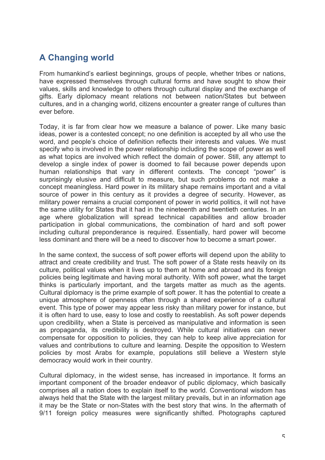# **A Changing world**

From humankind's earliest beginnings, groups of people, whether tribes or nations, have expressed themselves through cultural forms and have sought to show their values, skills and knowledge to others through cultural display and the exchange of gifts. Early diplomacy meant relations not between nation/States but between cultures, and in a changing world, citizens encounter a greater range of cultures than ever before.

Today, it is far from clear how we measure a balance of power. Like many basic ideas, power is a contested concept; no one definition is accepted by all who use the word, and people's choice of definition reflects their interests and values. We must specify who is involved in the power relationship including the scope of power as well as what topics are involved which reflect the domain of power. Still, any attempt to develop a single index of power is doomed to fail because power depends upon human relationships that vary in different contexts. The concept "power" is surprisingly elusive and difficult to measure, but such problems do not make a concept meaningless. Hard power in its military shape remains important and a vital source of power in this century as it provides a degree of security. However, as military power remains a crucial component of power in world politics, it will not have the same utility for States that it had in the nineteenth and twentieth centuries. In an age where globalization will spread technical capabilities and allow broader participation in global communications, the combination of hard and soft power including cultural preponderance is required. Essentially, hard power will become less dominant and there will be a need to discover how to become a smart power.

In the same context, the success of soft power efforts will depend upon the ability to attract and create credibility and trust. The soft power of a State rests heavily on its culture, political values when it lives up to them at home and abroad and its foreign policies being legitimate and having moral authority. With soft power, what the target thinks is particularly important, and the targets matter as much as the agents. Cultural diplomacy is the prime example of soft power. It has the potential to create a unique atmosphere of openness often through a shared experience of a cultural event. This type of power may appear less risky than military power for instance, but it is often hard to use, easy to lose and costly to reestablish. As soft power depends upon credibility, when a State is perceived as manipulative and information is seen as propaganda, its credibility is destroyed. While cultural initiatives can never compensate for opposition to policies, they can help to keep alive appreciation for values and contributions to culture and learning. Despite the opposition to Western policies by most Arabs for example, populations still believe a Western style democracy would work in their country.

Cultural diplomacy, in the widest sense, has increased in importance. It forms an important component of the broader endeavor of public diplomacy, which basically comprises all a nation does to explain itself to the world. Conventional wisdom has always held that the State with the largest military prevails, but in an information age it may be the State or non-States with the best story that wins. In the aftermath of 9/11 foreign policy measures were significantly shifted. Photographs captured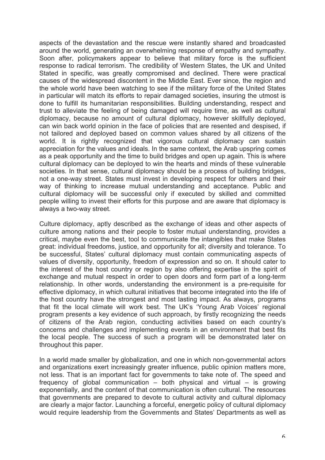aspects of the devastation and the rescue were instantly shared and broadcasted around the world, generating an overwhelming response of empathy and sympathy. Soon after, policymakers appear to believe that military force is the sufficient response to radical terrorism. The credibility of Western States, the UK and United Stated in specific, was greatly compromised and declined. There were practical causes of the widespread discontent in the Middle East. Ever since, the region and the whole world have been watching to see if the military force of the United States in particular will match its efforts to repair damaged societies, insuring the utmost is done to fulfill its humanitarian responsibilities. Building understanding, respect and trust to alleviate the feeling of being damaged will require time, as well as cultural diplomacy, because no amount of cultural diplomacy, however skillfully deployed, can win back world opinion in the face of policies that are resented and despised, if not tailored and deployed based on common values shared by all citizens of the world. It is rightly recognized that vigorous cultural diplomacy can sustain appreciation for the values and ideals. In the same context, the Arab upspring comes as a peak opportunity and the time to build bridges and open up again. This is where cultural diplomacy can be deployed to win the hearts and minds of these vulnerable societies. In that sense, cultural diplomacy should be a process of building bridges, not a one-way street. States must invest in developing respect for others and their way of thinking to increase mutual understanding and acceptance. Public and cultural diplomacy will be successful only if executed by skilled and committed people willing to invest their efforts for this purpose and are aware that diplomacy is always a two-way street.

Culture diplomacy, aptly described as the exchange of ideas and other aspects of culture among nations and their people to foster mutual understanding, provides a critical, maybe even the best, tool to communicate the intangibles that make States great: individual freedoms, justice, and opportunity for all; diversity and tolerance. To be successful, States' cultural diplomacy must contain communicating aspects of values of diversity, opportunity, freedom of expression and so on. It should cater to the interest of the host country or region by also offering expertise in the spirit of exchange and mutual respect in order to open doors and form part of a long-term relationship. In other words, understanding the environment is a pre-requisite for effective diplomacy, in which cultural initiatives that become integrated into the life of the host country have the strongest and most lasting impact. As always, programs that fit the local climate will work best. The UK's 'Young Arab Voices' regional program presents a key evidence of such approach, by firstly recognizing the needs of citizens of the Arab region, conducting activities based on each country's concerns and challenges and implementing events in an environment that best fits the local people. The success of such a program will be demonstrated later on throughout this paper.

In a world made smaller by globalization, and one in which non-governmental actors and organizations exert increasingly greater influence, public opinion matters more, not less. That is an important fact for governments to take note of. The speed and frequency of global communication – both physical and virtual – is growing exponentially, and the content of that communication is often cultural. The resources that governments are prepared to devote to cultural activity and cultural diplomacy are clearly a major factor. Launching a forceful, energetic policy of cultural diplomacy would require leadership from the Governments and States' Departments as well as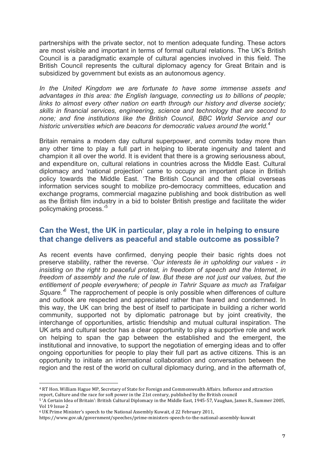partnerships with the private sector, not to mention adequate funding. These actors are most visible and important in terms of formal cultural relations. The UK's British Council is a paradigmatic example of cultural agencies involved in this field. The British Council represents the cultural diplomacy agency for Great Britain and is subsidized by government but exists as an autonomous agency.

*In the United Kingdom we are fortunate to have some immense assets and advantages in this area: the English language, connecting us to billions of people; links to almost every other nation on earth through our history and diverse society; skills in financial services, engineering, science and technology that are second to none; and fine institutions like the British Council, BBC World Service and our historic universities which are beacons for democratic values around the world.<sup>4</sup>*

Britain remains a modern day cultural superpower, and commits today more than any other time to play a full part in helping to liberate ingenuity and talent and champion it all over the world. It is evident that there is a growing seriousness about, and expenditure on, cultural relations in countries across the Middle East. Cultural diplomacy and 'national projection' came to occupy an important place in British policy towards the Middle East. 'The British Council and the official overseas information services sought to mobilize pro-democracy committees, education and exchange programs, commercial magazine publishing and book distribution as well as the British film industry in a bid to bolster British prestige and facilitate the wider policymaking process.' 5

#### **Can the West, the UK in particular, play a role in helping to ensure that change delivers as peaceful and stable outcome as possible?**

As recent events have confirmed, denying people their basic rights does not preserve stability, rather the reverse. '*Our interests lie in upholding our values - in insisting on the right to peaceful protest, in freedom of speech and the Internet, in freedom of assembly and the rule of law. But these are not just our values, but the entitlement of people everywhere; of people in Tahrir Square as much as Trafalgar*  Square.<sup>6</sup> The rapprochement of people is only possible when differences of culture and outlook are respected and appreciated rather than feared and condemned. In this way, the UK can bring the best of itself to participate in building a richer world community, supported not by diplomatic patronage but by joint creativity, the interchange of opportunities, artistic friendship and mutual cultural inspiration. The UK arts and cultural sector has a clear opportunity to play a supportive role and work on helping to span the gap between the established and the emergent, the institutional and innovative, to support the negotiation of emerging ideas and to offer ongoing opportunities for people to play their full part as active citizens. This is an opportunity to initiate an international collaboration and conversation between the region and the rest of the world on cultural diplomacy during, and in the aftermath of,

<sup>&</sup>lt;sup>4</sup> RT Hon. William Hague MP, Secretary of State for Foreign and Commonwealth Affairs. Influence and attraction report, Culture and the race for soft power in the 21st century, published by the British council

<sup>&</sup>lt;sup>5</sup>'A Certain Idea of Britain': British Cultural Diplomacy in the Middle East, 1945-57, Vaughan, James R., Summer 2005, Vol 19 Issue 2

<sup>&</sup>lt;sup>6</sup> UK Prime Minister's speech to the National Assembly Kuwait, d 22 February 2011,

https://www.gov.uk/government/speeches/prime-ministers-speech-to-the-national-assembly-kuwait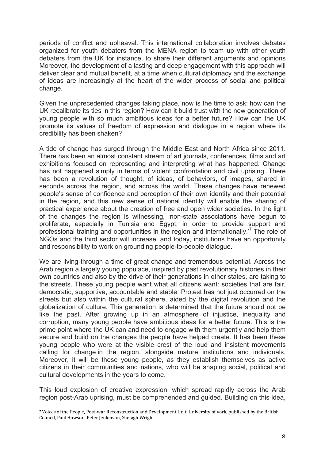periods of conflict and upheaval. This international collaboration involves debates organized for youth debaters from the MENA region to team up with other youth debaters from the UK for instance, to share their different arguments and opinions Moreover, the development of a lasting and deep engagement with this approach will deliver clear and mutual benefit, at a time when cultural diplomacy and the exchange of ideas are increasingly at the heart of the wider process of social and political change.

Given the unprecedented changes taking place, now is the time to ask: how can the UK recalibrate its ties in this region? How can it build trust with the new generation of young people with so much ambitious ideas for a better future? How can the UK promote its values of freedom of expression and dialogue in a region where its credibility has been shaken?

A tide of change has surged through the Middle East and North Africa since 2011. There has been an almost constant stream of art journals, conferences, films and art exhibitions focused on representing and interpreting what has happened. Change has not happened simply in terms of violent confrontation and civil uprising. There has been a revolution of thought, of ideas, of behaviors, of images, shared in seconds across the region, and across the world. These changes have renewed people's sense of confidence and perception of their own identity and their potential in the region, and this new sense of national identity will enable the sharing of practical experience about the creation of free and open wider societies. In the light of the changes the region is witnessing, 'non-state associations have begun to proliferate, especially in Tunisia and Egypt, in order to provide support and professional training and opportunities in the region and internationally.<sup>7</sup> The role of NGOs and the third sector will increase, and today, institutions have an opportunity and responsibility to work on grounding people-to-people dialogue.

We are living through a time of great change and tremendous potential. Across the Arab region a largely young populace, inspired by past revolutionary histories in their own countries and also by the drive of their generations in other states, are taking to the streets. These young people want what all citizens want: societies that are fair, democratic, supportive, accountable and stable. Protest has not just occurred on the streets but also within the cultural sphere, aided by the digital revolution and the globalization of culture. This generation is determined that the future should not be like the past. After growing up in an atmosphere of injustice, inequality and corruption, many young people have ambitious ideas for a better future. This is the prime point where the UK can and need to engage with them urgently and help them secure and build on the changes the people have helped create. It has been these young people who were at the visible crest of the loud and insistent movements calling for change in the region, alongside mature institutions and individuals. Moreover, it will be these young people, as they establish themselves as active citizens in their communities and nations, who will be shaping social, political and cultural developments in the years to come.

This loud explosion of creative expression, which spread rapidly across the Arab region post-Arab uprising, must be comprehended and guided. Building on this idea,

<sup>7</sup> Voices of the People, Post-war Reconstruction and Development Unit, University of vork, published by the British Council, Paul Howson, Peter Jenkinson, Shelagh Wright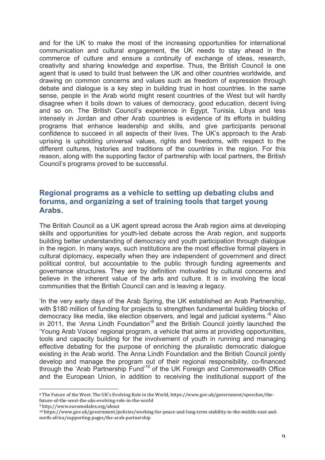and for the UK to make the most of the increasing opportunities for international communication and cultural engagement, the UK needs to stay ahead in the commerce of culture and ensure a continuity of exchange of ideas, research, creativity and sharing knowledge and expertise. Thus, the British Council is one agent that is used to build trust between the UK and other countries worldwide, and drawing on common concerns and values such as freedom of expression through debate and dialogue is a key step in building trust in host countries. In the same sense, people in the Arab world might resent countries of the West but will hardly disagree when it boils down to values of democracy, good education, decent living and so on. The British Council's experience in Egypt, Tunisia, Libya and less intensely in Jordan and other Arab countries is evidence of its efforts in building programs that enhance leadership and skills, and give participants personal confidence to succeed in all aspects of their lives. The UK's approach to the Arab uprising is upholding universal values, rights and freedoms, with respect to the different cultures, histories and traditions of the countries in the region. For this reason, along with the supporting factor of partnership with local partners, the British Council's programs proved to be successful.

### **Regional programs as a vehicle to setting up debating clubs and forums, and organizing a set of training tools that target young Arabs.**

The British Council as a UK agent spread across the Arab region aims at developing skills and opportunities for youth-led debate across the Arab region, and supports building better understanding of democracy and youth participation through dialogue in the region. In many ways, such institutions are the most effective formal players in cultural diplomacy, especially when they are independent of government and direct political control, but accountable to the public through funding agreements and governance structures. They are by definition motivated by cultural concerns and believe in the inherent value of the arts and culture. It is in involving the local communities that the British Council can and is leaving a legacy.

'In the very early days of the Arab Spring, the UK established an Arab Partnership, with \$180 million of funding for projects to strengthen fundamental building blocks of democracy like media, like election observers, and legal and judicial systems.'8 Also in 2011, the 'Anna Lindh Foundation'<sup>9</sup> and the British Council jointly launched the 'Young Arab Voices' regional program, a vehicle that aims at providing opportunities, tools and capacity building for the involvement of youth in running and managing effective debating for the purpose of enriching the pluralistic democratic dialogue existing in the Arab world. The Anna Lindh Foundation and the British Council jointly develop and manage the program out of their regional responsibility, co-financed through the 'Arab Partnership Fund'<sup>10</sup> of the UK Foreign and Commonwealth Office and the European Union, in addition to receiving the institutional support of the

<sup>9</sup> http://www.euromedalex.org/about

<sup>&</sup>lt;sup>8</sup> The Future of the West: The UK's Evolving Role in the World, https://www.gov.uk/government/speeches/thefuture-of-the-west-the-uks-evolving-role-in-the-world

<sup>10</sup> https://www.gov.uk/government/policies/working-for-peace-and-long-term-stability-in-the-middle-east-andnorth-africa/supporting-pages/the-arab-partnership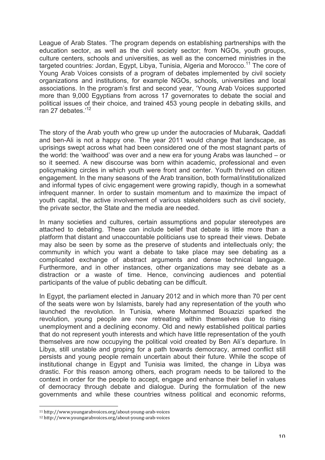League of Arab States. 'The program depends on establishing partnerships with the education sector, as well as the civil society sector; from NGOs, youth groups, culture centers, schools and universities, as well as the concerned ministries in the targeted countries: Jordan, Egypt, Libya, Tunisia, Algeria and Morocco.<sup>11</sup> The core of Young Arab Voices consists of a program of debates implemented by civil society organizations and institutions, for example NGOs, schools, universities and local associations. In the program's first and second year, 'Young Arab Voices supported more than 9,000 Egyptians from across 17 governorates to debate the social and political issues of their choice, and trained 453 young people in debating skills, and <sup>r</sup>an 27 debates.'<sup>12</sup>

The story of the Arab youth who grew up under the autocracies of Mubarak, Qaddafi and ben-Ali is not a happy one. The year 2011 would change that landscape, as uprisings swept across what had been considered one of the most stagnant parts of the world: the 'waithood' was over and a new era for young Arabs was launched – or so it seemed. A new discourse was born within academic, professional and even policymaking circles in which youth were front and center. Youth thrived on citizen engagement. In the many seasons of the Arab transition, both formal/institutionalized and informal types of civic engagement were growing rapidly, though in a somewhat infrequent manner. In order to sustain momentum and to maximize the impact of youth capital, the active involvement of various stakeholders such as civil society, the private sector, the State and the media are needed.

In many societies and cultures, certain assumptions and popular stereotypes are attached to debating. These can include belief that debate is little more than a platform that distant and unaccountable politicians use to spread their views. Debate may also be seen by some as the preserve of students and intellectuals only; the community in which you want a debate to take place may see debating as a complicated exchange of abstract arguments and dense technical language. Furthermore, and in other instances, other organizations may see debate as a distraction or a waste of time. Hence, convincing audiences and potential participants of the value of public debating can be difficult.

In Egypt, the parliament elected in January 2012 and in which more than 70 per cent of the seats were won by Islamists, barely had any representation of the youth who launched the revolution. In Tunisia, where Mohammed Bouazizi sparked the revolution, young people are now retreating within themselves due to rising unemployment and a declining economy. Old and newly established political parties that do not represent youth interests and which have little representation of the youth themselves are now occupying the political void created by Ben Ali's departure. In Libya, still unstable and groping for a path towards democracy, armed conflict still persists and young people remain uncertain about their future. While the scope of institutional change in Egypt and Tunisia was limited, the change in Libya was drastic. For this reason among others, each program needs to be tailored to the context in order for the people to accept, engage and enhance their belief in values of democracy through debate and dialogue. During the formulation of the new governments and while these countries witness political and economic reforms,

<sup>11</sup> http://www.youngarabvoices.org/about-young-arab-voices

<sup>12</sup> http://www.youngarabvoices.org/about-young-arab-voices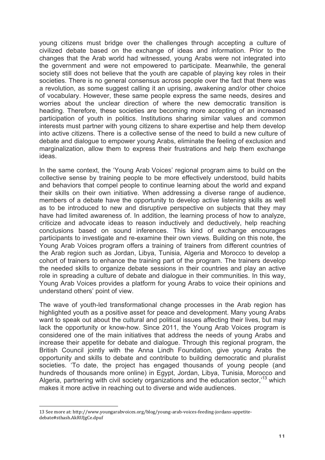young citizens must bridge over the challenges through accepting a culture of civilized debate based on the exchange of ideas and information. Prior to the changes that the Arab world had witnessed, young Arabs were not integrated into the government and were not empowered to participate. Meanwhile, the general society still does not believe that the youth are capable of playing key roles in their societies. There is no general consensus across people over the fact that there was a revolution, as some suggest calling it an uprising, awakening and/or other choice of vocabulary. However, these same people express the same needs, desires and worries about the unclear direction of where the new democratic transition is heading. Therefore, these societies are becoming more accepting of an increased participation of youth in politics. Institutions sharing similar values and common interests must partner with young citizens to share expertise and help them develop into active citizens. There is a collective sense of the need to build a new culture of debate and dialogue to empower young Arabs, eliminate the feeling of exclusion and marginalization, allow them to express their frustrations and help them exchange ideas.

In the same context, the 'Young Arab Voices' regional program aims to build on the collective sense by training people to be more effectively understood, build habits and behaviors that compel people to continue learning about the world and expand their skills on their own initiative. When addressing a diverse range of audience, members of a debate have the opportunity to develop active listening skills as well as to be introduced to new and disruptive perspective on subjects that they may have had limited awareness of. In addition, the learning process of how to analyze, criticize and advocate ideas to reason inductively and deductively, help reaching conclusions based on sound inferences. This kind of exchange encourages participants to investigate and re-examine their own views. Building on this note, the Young Arab Voices program offers a training of trainers from different countries of the Arab region such as Jordan, Libya, Tunisia, Algeria and Morocco to develop a cohort of trainers to enhance the training part of the program. The trainers develop the needed skills to organize debate sessions in their countries and play an active role in spreading a culture of debate and dialogue in their communities. In this way, Young Arab Voices provides a platform for young Arabs to voice their opinions and understand others' point of view.

The wave of youth-led transformational change processes in the Arab region has highlighted youth as a positive asset for peace and development. Many young Arabs want to speak out about the cultural and political issues affecting their lives, but may lack the opportunity or know-how. Since 2011, the Young Arab Voices program is considered one of the main initiatives that address the needs of young Arabs and increase their appetite for debate and dialogue. Through this regional program, the British Council jointly with the Anna Lindh Foundation, give young Arabs the opportunity and skills to debate and contribute to building democratic and pluralist societies. 'To date, the project has engaged thousands of young people (and hundreds of thousands more online) in Egypt, Jordan, Libya, Tunisia, Morocco and Algeria, partnering with civil society organizations and the education sector,<sup>13</sup> which makes it more active in reaching out to diverse and wide audiences.

<sup>13</sup> See more at: http://www.youngarabvoices.org/blog/young-arab-voices-feeding-jordans-appetitedebate#sthash.AkRUJgCe.dpuf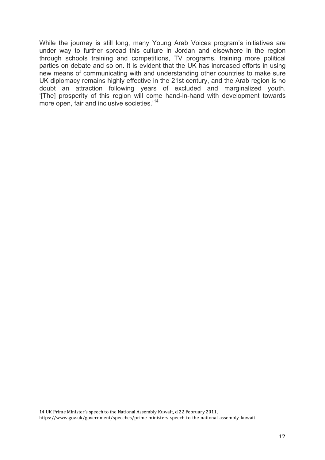While the journey is still long, many Young Arab Voices program's initiatives are under way to further spread this culture in Jordan and elsewhere in the region through schools training and competitions, TV programs, training more political parties on debate and so on. It is evident that the UK has increased efforts in using new means of communicating with and understanding other countries to make sure UK diplomacy remains highly effective in the 21st century, and the Arab region is no doubt an attraction following years of excluded and marginalized youth. '[The] prosperity of this region will come hand-in-hand with development towards more open, fair and inclusive societies.<sup>14</sup>

<sup>14</sup> UK Prime Minister's speech to the National Assembly Kuwait, d 22 February 2011,

https://www.gov.uk/government/speeches/prime-ministers-speech-to-the-national-assembly-kuwait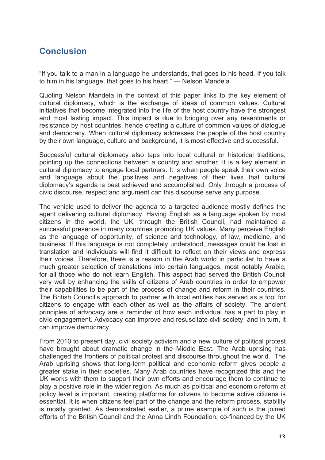## **Conclusion**

"If you talk to a man in a language he understands, that goes to his head. If you talk to him in his language, that goes to his heart." ― Nelson Mandela

Quoting Nelson Mandela in the context of this paper links to the key element of cultural diplomacy, which is the exchange of ideas of common values. Cultural initiatives that become integrated into the life of the host country have the strongest and most lasting impact. This impact is due to bridging over any resentments or resistance by host countries, hence creating a culture of common values of dialogue and democracy. When cultural diplomacy addresses the people of the host country by their own language, culture and background, it is most effective and successful.

Successful cultural diplomacy also taps into local cultural or historical traditions, pointing up the connections between a country and another. It is a key element in cultural diplomacy to engage local partners. It is when people speak their own voice and language about the positives and negatives of their lives that cultural diplomacy's agenda is best achieved and accomplished. Only through a process of civic discourse, respect and argument can this discourse serve any purpose.

The vehicle used to deliver the agenda to a targeted audience mostly defines the agent delivering cultural diplomacy. Having English as a language spoken by most citizens in the world, the UK, through the British Council, had maintained a successful presence in many countries promoting UK values. Many perceive English as the language of opportunity, of science and technology, of law, medicine, and business. If this language is not completely understood, messages could be lost in translation and individuals will find it difficult to reflect on their views and express their voices. Therefore, there is a reason in the Arab world in particular to have a much greater selection of translations into certain languages, most notably Arabic, for all those who do not learn English. This aspect had served the British Council very well by enhancing the skills of citizens of Arab countries in order to empower their capabilities to be part of the process of change and reform in their countries. The British Council's approach to partner with local entities has served as a tool for citizens to engage with each other as well as the affairs of society. The ancient principles of advocacy are a reminder of how each individual has a part to play in civic engagement. Advocacy can improve and resuscitate civil society, and in turn, it can improve democracy.

From 2010 to present day, civil society activism and a new culture of political protest have brought about dramatic change in the Middle East. The Arab uprising has challenged the frontiers of political protest and discourse throughout the world. The Arab uprising shows that long-term political and economic reform gives people a greater stake in their societies. Many Arab countries have recognized this and the UK works with them to support their own efforts and encourage them to continue to play a positive role in the wider region. As much as political and economic reform at policy level is important, creating platforms for citizens to become active citizens is essential. It is when citizens feel part of the change and the reform process, stability is mostly granted. As demonstrated earlier, a prime example of such is the joined efforts of the British Council and the Anna Lindh Foundation, co-financed by the UK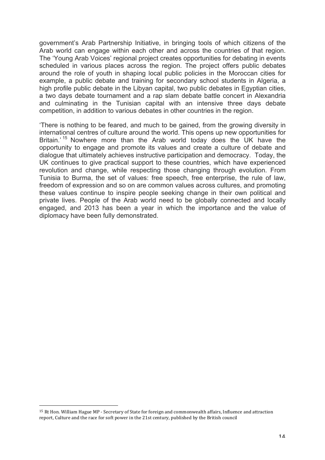government's Arab Partnership Initiative, in bringing tools of which citizens of the Arab world can engage within each other and across the countries of that region. The 'Young Arab Voices' regional project creates opportunities for debating in events scheduled in various places across the region. The project offers public debates around the role of youth in shaping local public policies in the Moroccan cities for example, a public debate and training for secondary school students in Algeria, a high profile public debate in the Libyan capital, two public debates in Egyptian cities, a two days debate tournament and a rap slam debate battle concert in Alexandria and culminating in the Tunisian capital with an intensive three days debate competition, in addition to various debates in other countries in the region.

'There is nothing to be feared, and much to be gained, from the growing diversity in international centres of culture around the world. This opens up new opportunities for Britain.' <sup>15</sup> Nowhere more than the Arab world today does the UK have the opportunity to engage and promote its values and create a culture of debate and dialogue that ultimately achieves instructive participation and democracy. Today, the UK continues to give practical support to these countries, which have experienced revolution and change, while respecting those changing through evolution. From Tunisia to Burma, the set of values: free speech, free enterprise, the rule of law, freedom of expression and so on are common values across cultures, and promoting these values continue to inspire people seeking change in their own political and private lives. People of the Arab world need to be globally connected and locally engaged, and 2013 has been a year in which the importance and the value of diplomacy have been fully demonstrated.

<sup>&</sup>lt;sup>15</sup> Rt Hon. William Hague MP - Secretary of State for foreign and commonwealth affairs, Influence and attraction report, Culture and the race for soft power in the 21st century, published by the British council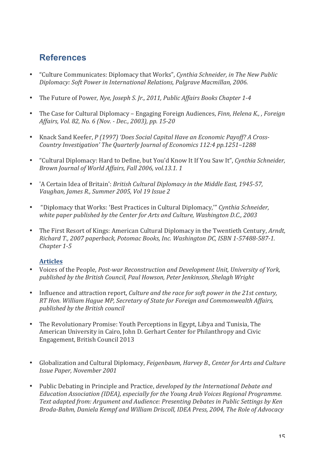## **References**

- "Culture Communicates: Diplomacy that Works", *Cynthia Schneider*, *in The New Public Diplomacy:* Soft Power in International Relations, Palgrave Macmillan, 2006.
- The Future of Power, *Nye, Joseph S. Jr., 2011, Public Affairs Books Chapter 1-4*
- The Case for Cultural Diplomacy Engaging Foreign Audiences, *Finn, Helena K., , Foreign Affairs, Vol. 82, No. 6 (Nov. - Dec., 2003), pp. 15-20*
- Knack Sand Keefer, *P* (1997) 'Does Social Capital Have an Economic Payoff? A Cross-*Country Investigation' The Quarterly Journal of Economics 112:4 pp.1251-1288*
- "Cultural Diplomacy: Hard to Define, but You'd Know It If You Saw It", *Cynthia Schneider*, *Brown Journal of World Affairs, Fall 2006, vol.13.1. 1*
- 'A Certain Idea of Britain': *British Cultural Diplomacy in the Middle East, 1945-57,* Vaughan, James R., Summer 2005, Vol 19 Issue 2
- "Diplomacy that Works: 'Best Practices in Cultural Diplomacy,'" *Cynthia Schneider,*  white paper published by the Center for Arts and Culture, Washington D.C., 2003
- The First Resort of Kings: American Cultural Diplomacy in the Twentieth Century, *Arndt*, *Richard T., 2007 paperback, Potomac Books, Inc. Washington DC, ISBN 1-57488-587-1. Chapter 1-5*

#### **Articles**

- Voices of the People, *Post-war Reconstruction and Development Unit, University of York,* published by the British Council, Paul Howson, Peter Jenkinson, Shelagh Wright
- Influence and attraction report, *Culture and the race for soft power in the 21st century*, *RT* Hon. William Hague MP, Secretary of State for Foreign and Commonwealth Affairs, *published by the British council*
- The Revolutionary Promise: Youth Perceptions in Egypt, Libya and Tunisia, The American University in Cairo, John D. Gerhart Center for Philanthropy and Civic Engagement, British Council 2013
- Globalization and Cultural Diplomacy, *Feigenbaum, Harvey B., Center for Arts and Culture Issue Paper, November 2001*
- Public Debating in Principle and Practice, *developed by the International Debate and Education Association (IDEA), especially for the Young Arab Voices Regional Programme.* Text adapted from: Argument and Audience: Presenting Debates in Public Settings by Ken *Broda-Bahm, Daniela Kempf and William Driscoll, IDEA Press, 2004, The Role of Advocacy*